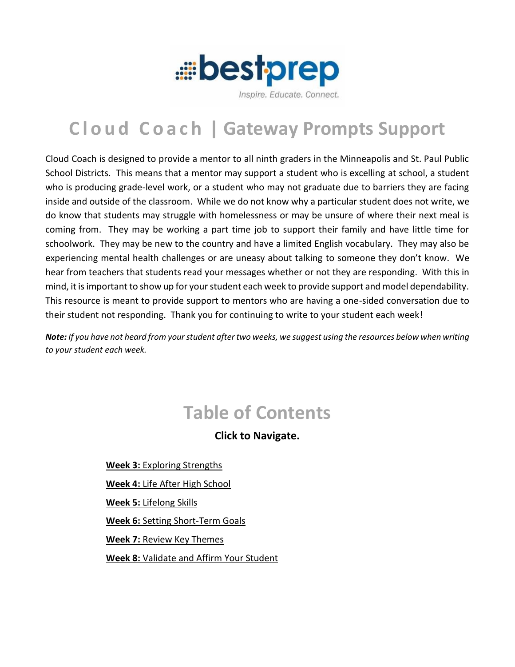

#### Inspire, Educate, Connect.

# **C l o u d C o a c h | Gateway Prompts Support**

Cloud Coach is designed to provide a mentor to all ninth graders in the Minneapolis and St. Paul Public School Districts. This means that a mentor may support a student who is excelling at school, a student who is producing grade-level work, or a student who may not graduate due to barriers they are facing inside and outside of the classroom. While we do not know why a particular student does not write, we do know that students may struggle with homelessness or may be unsure of where their next meal is coming from. They may be working a part time job to support their family and have little time for schoolwork. They may be new to the country and have a limited English vocabulary. They may also be experiencing mental health challenges or are uneasy about talking to someone they don't know. We hear from teachers that students read your messages whether or not they are responding. With this in mind, it is important to show up for your student each week to provide support and model dependability. This resource is meant to provide support to mentors who are having a one-sided conversation due to their student not responding. Thank you for continuing to write to your student each week!

*Note: If you have not heard from your student after two weeks, we suggest using the resources below when writing to your student each week.* 

# **Table of Contents**

**Click to Navigate.**

**Week 3:** [Exploring Strengths](#page-1-0) **Week 4:** [Life After High School](#page-2-0) **Week 5:** [Lifelong Skills](#page-3-0) **Week 6:** [Setting Short-Term Goals](#page-4-0) **Week 7:** [Review Key Themes](#page-5-0) **Week 8:** [Validate and Affirm Your Student](#page-6-0)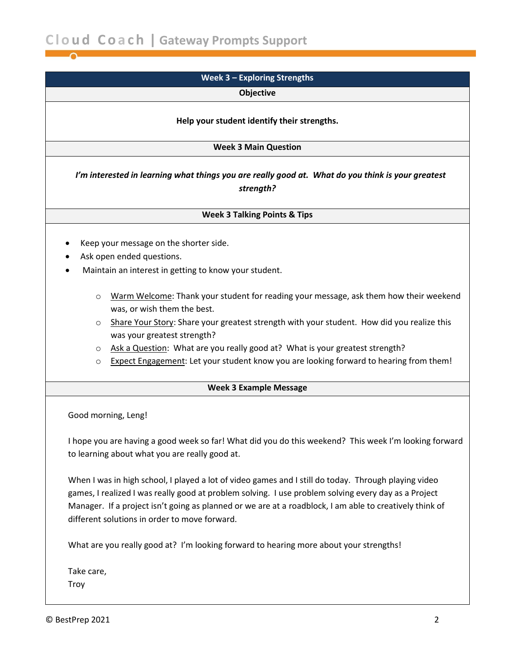<span id="page-1-0"></span>

| Week 3 - Exploring Strengths                                                                                                                                                                                                                                                                                                                                                                                                                                |  |  |
|-------------------------------------------------------------------------------------------------------------------------------------------------------------------------------------------------------------------------------------------------------------------------------------------------------------------------------------------------------------------------------------------------------------------------------------------------------------|--|--|
| <b>Objective</b>                                                                                                                                                                                                                                                                                                                                                                                                                                            |  |  |
| Help your student identify their strengths.                                                                                                                                                                                                                                                                                                                                                                                                                 |  |  |
| <b>Week 3 Main Question</b>                                                                                                                                                                                                                                                                                                                                                                                                                                 |  |  |
| I'm interested in learning what things you are really good at. What do you think is your greatest<br>strength?                                                                                                                                                                                                                                                                                                                                              |  |  |
| <b>Week 3 Talking Points &amp; Tips</b>                                                                                                                                                                                                                                                                                                                                                                                                                     |  |  |
| Keep your message on the shorter side.<br>Ask open ended questions.<br>Maintain an interest in getting to know your student.                                                                                                                                                                                                                                                                                                                                |  |  |
| Warm Welcome: Thank your student for reading your message, ask them how their weekend<br>$\circ$<br>was, or wish them the best.<br>Share Your Story: Share your greatest strength with your student. How did you realize this<br>$\circ$<br>was your greatest strength?<br>Ask a Question: What are you really good at? What is your greatest strength?<br>O<br>Expect Engagement: Let your student know you are looking forward to hearing from them!<br>O |  |  |
| <b>Week 3 Example Message</b>                                                                                                                                                                                                                                                                                                                                                                                                                               |  |  |
| Good morning, Leng!                                                                                                                                                                                                                                                                                                                                                                                                                                         |  |  |
| I hope you are having a good week so far! What did you do this weekend? This week I'm looking forward<br>to learning about what you are really good at.                                                                                                                                                                                                                                                                                                     |  |  |
| When I was in high school, I played a lot of video games and I still do today. Through playing video<br>games, I realized I was really good at problem solving. I use problem solving every day as a Project<br>Manager. If a project isn't going as planned or we are at a roadblock, I am able to creatively think of<br>different solutions in order to move forward.                                                                                    |  |  |
| What are you really good at? I'm looking forward to hearing more about your strengths!                                                                                                                                                                                                                                                                                                                                                                      |  |  |
| Take care,<br>Troy                                                                                                                                                                                                                                                                                                                                                                                                                                          |  |  |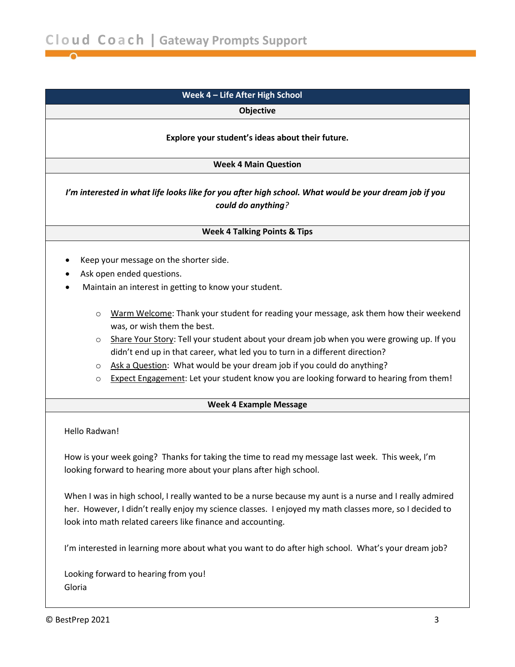# <span id="page-2-0"></span>**Week 4 – Life After High School**

**Objective**

#### **Explore your student's ideas about their future.**

**Week 4 Main Question**

*I'm interested in what life looks like for you after high school. What would be your dream job if you could do anything?*

#### **Week 4 Talking Points & Tips**

- Keep your message on the shorter side.
- Ask open ended questions.
- Maintain an interest in getting to know your student.
	- $\circ$  Warm Welcome: Thank your student for reading your message, ask them how their weekend was, or wish them the best.
	- $\circ$  Share Your Story: Tell your student about your dream job when you were growing up. If you didn't end up in that career, what led you to turn in a different direction?
	- o Ask a Question: What would be your dream job if you could do anything?
	- o Expect Engagement: Let your student know you are looking forward to hearing from them!

#### **Week 4 Example Message**

Hello Radwan!

How is your week going? Thanks for taking the time to read my message last week. This week, I'm looking forward to hearing more about your plans after high school.

When I was in high school, I really wanted to be a nurse because my aunt is a nurse and I really admired her. However, I didn't really enjoy my science classes. I enjoyed my math classes more, so I decided to look into math related careers like finance and accounting.

I'm interested in learning more about what you want to do after high school. What's your dream job?

Looking forward to hearing from you! Gloria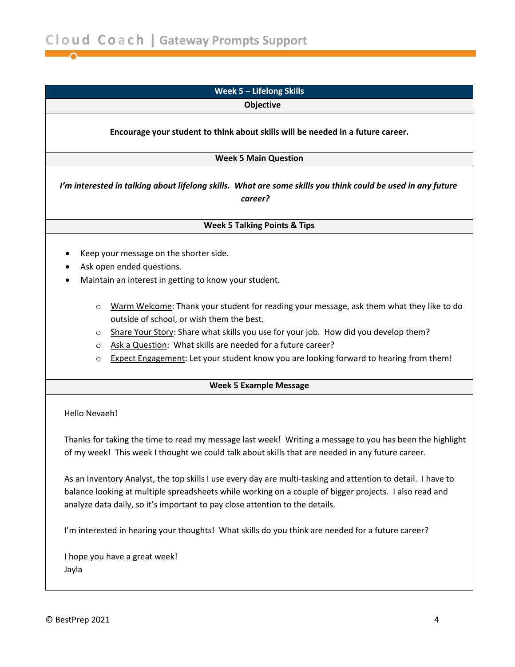<span id="page-3-0"></span>

|                                                                                                                                                                                                                                          | Week 5 - Lifelong Skills                                                                                                                                                                                                                                                                                                                                                              |  |  |                                                                                                                              |
|------------------------------------------------------------------------------------------------------------------------------------------------------------------------------------------------------------------------------------------|---------------------------------------------------------------------------------------------------------------------------------------------------------------------------------------------------------------------------------------------------------------------------------------------------------------------------------------------------------------------------------------|--|--|------------------------------------------------------------------------------------------------------------------------------|
|                                                                                                                                                                                                                                          | Objective                                                                                                                                                                                                                                                                                                                                                                             |  |  |                                                                                                                              |
| Encourage your student to think about skills will be needed in a future career.<br><b>Week 5 Main Question</b><br>I'm interested in talking about lifelong skills. What are some skills you think could be used in any future<br>career? |                                                                                                                                                                                                                                                                                                                                                                                       |  |  |                                                                                                                              |
|                                                                                                                                                                                                                                          |                                                                                                                                                                                                                                                                                                                                                                                       |  |  | <b>Week 5 Talking Points &amp; Tips</b>                                                                                      |
|                                                                                                                                                                                                                                          |                                                                                                                                                                                                                                                                                                                                                                                       |  |  | Keep your message on the shorter side.<br>Ask open ended questions.<br>Maintain an interest in getting to know your student. |
| $\circ$<br>O<br>$\circ$<br>O                                                                                                                                                                                                             | Warm Welcome: Thank your student for reading your message, ask them what they like to do<br>outside of school, or wish them the best.<br>Share Your Story: Share what skills you use for your job. How did you develop them?<br>Ask a Question: What skills are needed for a future career?<br>Expect Engagement: Let your student know you are looking forward to hearing from them! |  |  |                                                                                                                              |
|                                                                                                                                                                                                                                          | <b>Week 5 Example Message</b>                                                                                                                                                                                                                                                                                                                                                         |  |  |                                                                                                                              |
| Hello Nevaeh!                                                                                                                                                                                                                            |                                                                                                                                                                                                                                                                                                                                                                                       |  |  |                                                                                                                              |
|                                                                                                                                                                                                                                          | Thanks for taking the time to read my message last week! Writing a message to you has been the highlight<br>of my week! This week I thought we could talk about skills that are needed in any future career.                                                                                                                                                                          |  |  |                                                                                                                              |
|                                                                                                                                                                                                                                          | As an Inventory Analyst, the top skills I use every day are multi-tasking and attention to detail. I have to<br>balance looking at multiple spreadsheets while working on a couple of bigger projects. I also read and<br>analyze data daily, so it's important to pay close attention to the details.                                                                                |  |  |                                                                                                                              |
|                                                                                                                                                                                                                                          | I'm interested in hearing your thoughts! What skills do you think are needed for a future career?                                                                                                                                                                                                                                                                                     |  |  |                                                                                                                              |
| Jayla                                                                                                                                                                                                                                    | I hope you have a great week!                                                                                                                                                                                                                                                                                                                                                         |  |  |                                                                                                                              |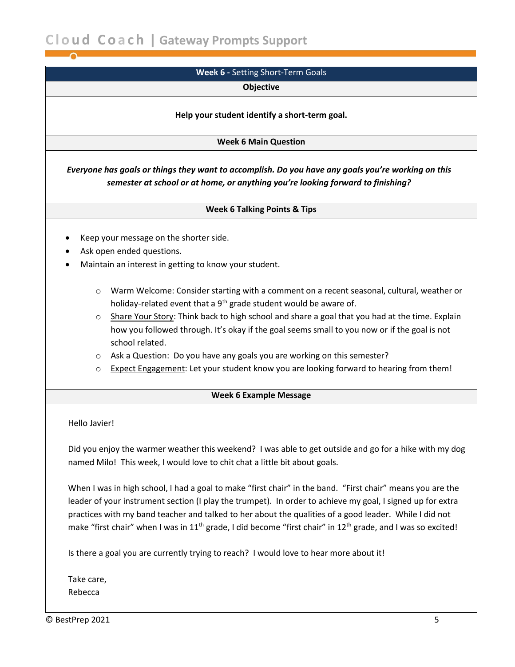<span id="page-4-0"></span>**C l o u d C o a c h | Gateway Prompts Support**

# **Week 6 -** Setting Short-Term Goals

#### **Objective**

#### **Help your student identify a short-term goal.**

#### **Week 6 Main Question**

*Everyone has goals or things they want to accomplish. Do you have any goals you're working on this semester at school or at home, or anything you're looking forward to finishing?*

#### **Week 6 Talking Points & Tips**

- Keep your message on the shorter side.
- Ask open ended questions.
- Maintain an interest in getting to know your student.
	- o Warm Welcome: Consider starting with a comment on a recent seasonal, cultural, weather or holiday-related event that a  $9<sup>th</sup>$  grade student would be aware of.
	- o Share Your Story: Think back to high school and share a goal that you had at the time. Explain how you followed through. It's okay if the goal seems small to you now or if the goal is not school related.
	- o Ask a Question: Do you have any goals you are working on this semester?
	- o Expect Engagement: Let your student know you are looking forward to hearing from them!

#### **Week 6 Example Message**

#### Hello Javier!

Did you enjoy the warmer weather this weekend? I was able to get outside and go for a hike with my dog named Milo! This week, I would love to chit chat a little bit about goals.

When I was in high school, I had a goal to make "first chair" in the band. "First chair" means you are the leader of your instrument section (I play the trumpet). In order to achieve my goal, I signed up for extra practices with my band teacher and talked to her about the qualities of a good leader. While I did not make "first chair" when I was in 11<sup>th</sup> grade, I did become "first chair" in 12<sup>th</sup> grade, and I was so excited!

Is there a goal you are currently trying to reach? I would love to hear more about it!

Take care, Rebecca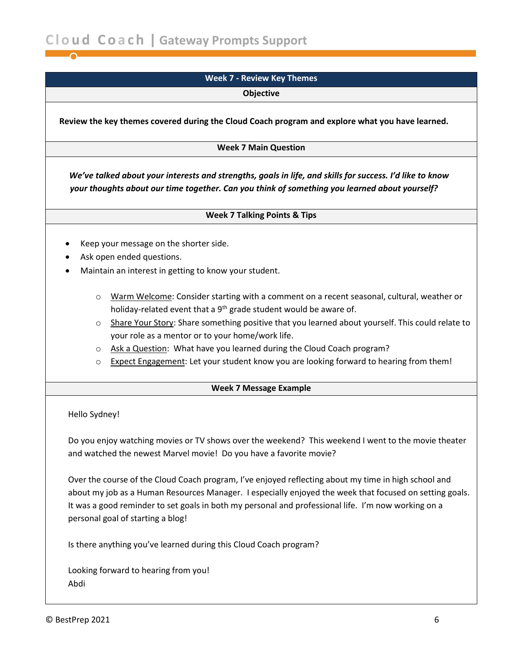# **Week 7 - Review Key Themes**

**Objective**

<span id="page-5-0"></span>**Review the key themes covered during the Cloud Coach program and explore what you have learned.**

**Week 7 Main Question**

*We've talked about your interests and strengths, goals in life, and skills for success. I'd like to know your thoughts about our time together. Can you think of something you learned about yourself?*

#### **Week 7 Talking Points & Tips**

- Keep your message on the shorter side.
- Ask open ended questions.
- Maintain an interest in getting to know your student.
	- o Warm Welcome: Consider starting with a comment on a recent seasonal, cultural, weather or holiday-related event that a  $9<sup>th</sup>$  grade student would be aware of.
	- o Share Your Story: Share something positive that you learned about yourself. This could relate to your role as a mentor or to your home/work life.
	- o Ask a Question: What have you learned during the Cloud Coach program?
	- o Expect Engagement: Let your student know you are looking forward to hearing from them!

# **Week 7 Message Example**

Hello Sydney!

Do you enjoy watching movies or TV shows over the weekend? This weekend I went to the movie theater and watched the newest Marvel movie! Do you have a favorite movie?

Over the course of the Cloud Coach program, I've enjoyed reflecting about my time in high school and about my job as a Human Resources Manager. I especially enjoyed the week that focused on setting goals. It was a good reminder to set goals in both my personal and professional life. I'm now working on a personal goal of starting a blog!

Is there anything you've learned during this Cloud Coach program?

Looking forward to hearing from you! Abdi